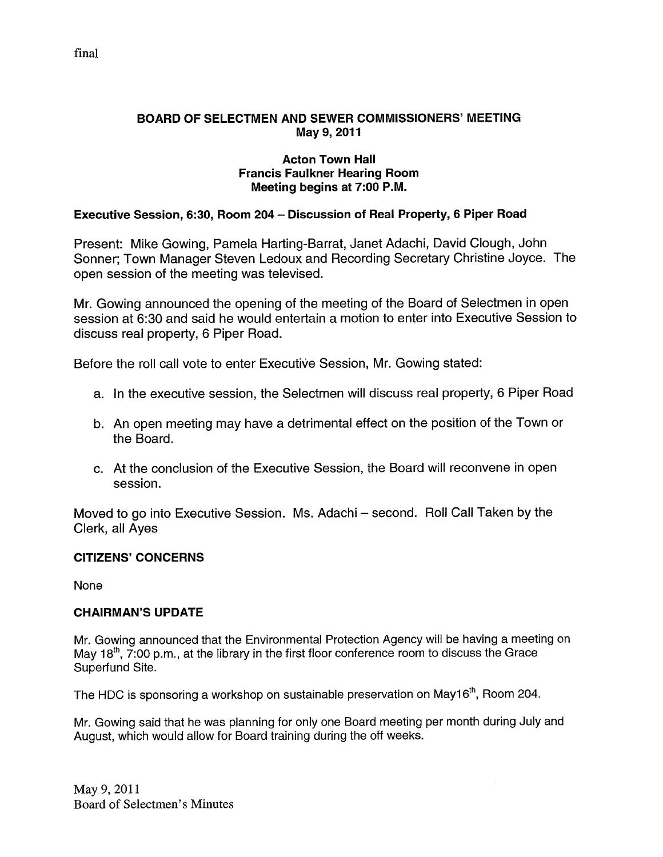#### BOARD OF SELECTMEN AND SEWER COMMISSIONERS' MEETING May 9, 2011

#### Acton Town Hall Francis Faulkner Hearing Room Meeting begins at 7:00 P.M.

#### Executive Session, 6:30, Room 204 — Discussion of Real Property, 6 Piper Road

Present: Mike Gowing, Pamela Harting-Barrat, Janet Adachi, David Clough, John Sonner; Town Manager Steven Ledoux and Recording Secretary Christine Joyce. The open session of the meeting was televised.

Mr. Gowing announced the opening of the meeting of the Board of Selectmen in open session at 6:30 and said he would entertain a motion to enter into Executive Session to discuss real property, 6 Piper Road.

Before the roll call vote to enter Executive Session, Mr. Gowing stated:

- a. In the executive session, the Selectmen will discuss real property, 6 Piper Road
- b. An open meeting may have a detrimental effect on the position of the Town or the Board.
- c. At the conclusion of the Executive Session, the Board will reconvene in open session.

Moved to go into Executive Session. Ms. Adachi — second. Roll Call Taken by the Clerk, all Ayes

#### CITIZENS' CONCERNS

None

#### CHAIRMAN'S UPDATE

Mr. Gowing announced that the Environmental Protection Agency will be having a meeting on May  $18<sup>th</sup>$ , 7:00 p.m., at the library in the first floor conference room to discuss the Grace Superfund Site.

The HDC is sponsoring a workshop on sustainable preservation on May16<sup>th</sup>, Room 204.

Mr. Gowing said that he was planning for only one Board meeting per month during July and August, which would allow for Board training during the off weeks.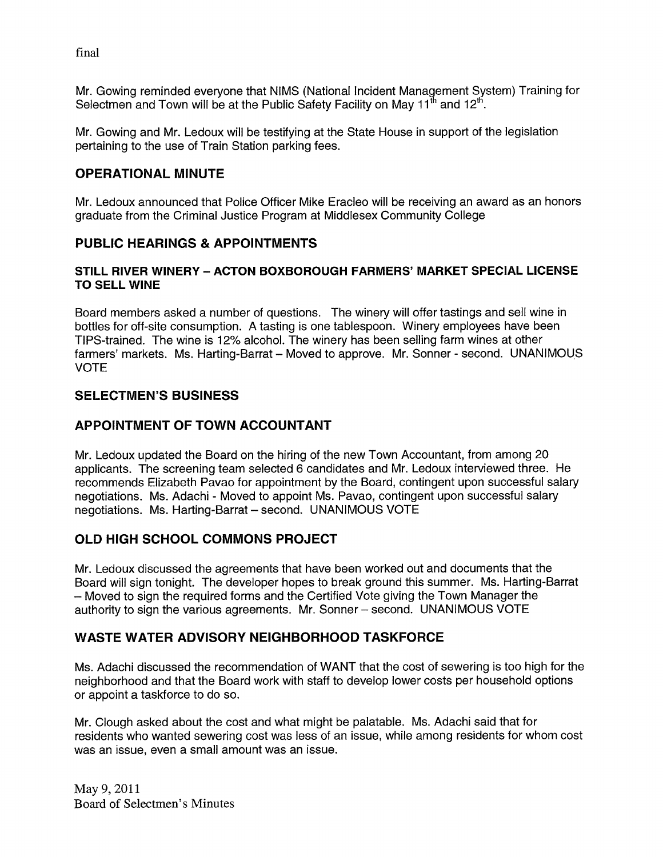final

Mr. Gowing reminded everyone that NIMS (National Incident Management System) Training for Selectmen and Town will be at the Public Safety Facility on May  $11^{\text{th}}$  and  $12^{\text{th}}$ .

Mr. Gowing and Mr. Ledoux will be testifying at the State House in support of the legislation pertaining to the use of Train Station parking fees.

## OPERATIONAL MINUTE

Mr. Ledoux announced that Police Officer Mike Eracleo will be receiving an award as an honors graduate from the Criminal Justice Program at Middlesex Community College

#### PUBLIC HEARINGS & APPOINTMENTS

#### STILL RIVER WINERY — ACTON BOXBOROUGH FARMERS' MARKET SPECIAL LICENSE TO SELL WINE

Board members asked a number of questions. The winery will offer tastings and sell wine in bottles for oft-site consumption. A tasting is one tablespoon. Winery employees have been TIPS-trained. The wine is 12% alcohol. The winery has been selling farm wines at other farmers' markets. Ms. Harting-Barrat - Moved to approve. Mr. Sonner - second. UNANIMOUS VOTE

#### SELECTMEN'S BUSINESS

#### APPOINTMENT OF TOWN ACCOUNTANT

Mr. Ledoux updated the Board on the hiring of the new Town Accountant, from among 20 applicants. The screening team selected 6 candidates and Mr. Ledoux interviewed three. He recommends Elizabeth Pavao for appointment by the Board, contingent upon successful salary negotiations. Ms. Adachi - Moved to appoint Ms. Pavao, contingent upon successful salary negotiations. Ms. Harting-Barrat — second. UNANIMOUS VOTE

#### OLD HIGH SCHOOL COMMONS PROJECT

Mr. Ledoux discussed the agreements that have been worked out and documents that the Board will sign tonight. The developer hopes to break ground this summer. Ms. Harting-Barrat — Moved to sign the required forms and the Certified Vote giving the Town Manager the authority to sign the various agreements. Mr. Sonner — second. UNANIMOUS VOTE

#### WASTE WATER ADVISORY NEIGHBORHOOD TASKFORCE

Ms. Adachi discussed the recommendation of WANT that the cost of sewering is too high for the neighborhood and that the Board work with staff to develop lower costs per household options or appoint a taskforce to do so.

Mr. Clough asked about the cost and what might be palatable. Ms. Adachi said that for residents who wanted sewering cost was less of an issue, while among residents for whom cost was an issue, even a small amount was an issue.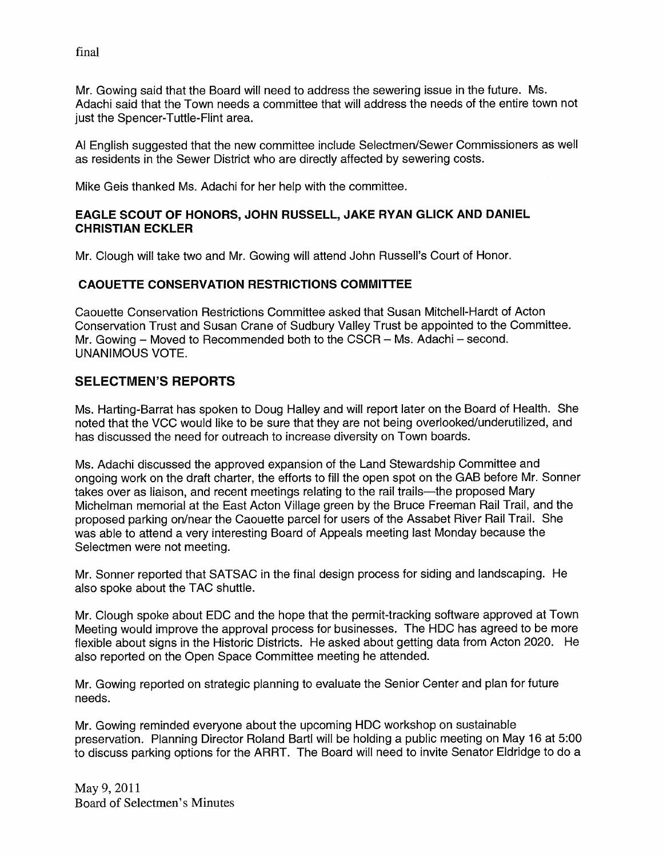final

Mr. Gowing said that the Board will need to address the sewering issue in the future. Ms. Adachi said that the Town needs a committee that will address the needs of the entire town not just the Spencer-Tuttle-Flint area.

Al English suggested that the new committee include Selectmen/Sewer Commissioners as well as residents in the Sewer District who are directly affected by sewering costs.

Mike Geis thanked Ms. Adachi for her help with the committee.

#### EAGLE SCOUT OF HONORS, JOHN RUSSELL, JAKE RYAN GLICK AND DANIEL CHRISTIAN ECKLER

Mr. Clough will take two and Mr. Gowing will attend John Russell's Court of Honor.

#### CAOUETTE CONSERVATION RESTRICTIONS COMMITTEE

Caouette Conservation Restrictions Committee asked that Susan Mitchell-Hardt of Acton Conservation Trust and Susan Crane of Sudbury Valley Trust be appointed to the Committee. Mr. Gowing — Moved to Recommended both to the CSCR — Ms. Adachi — second. UNANIMOUS VOTE.

#### SELECTMEN'S REPORTS

Ms. Harting-Barrat has spoken to Doug Halley and will report later on the Board of Health. She noted that the VCC would like to be sure that they are not being overlooked/underutilized, and has discussed the need for outreach to increase diversity on Town boards.

Ms. Adachi discussed the approved expansion of the Land Stewardship Committee and ongoing work on the draft charter, the efforts to fill the open spot on the GAB before Mr. Sonner takes over as liaison, and recent meetings relating to the rail trails—the proposed Mary Michelman memorial at the East Acton Village green by the Bruce Freeman Rail Trail, and the proposed parking on/near the Caouette parcel for users of the Assabet River Rail Trail. She was able to attend a very interesting Board of Appeals meeting last Monday because the Selectmen were not meeting.

Mr. Sonner reported that SATSAC in the final design process for siding and landscaping. He also spoke about the TAC shuttle.

Mr. Clough spoke about EDC and the hope that the permit-tracking software approved at Town Meeting would improve the approval process for businesses. The HDC has agreed to be more flexible about signs in the Historic Districts. He asked about getting data from Acton 2020. He also reported on the Open Space Committee meeting he attended.

Mr. Gowing reported on strategic planning to evaluate the Senior Center and plan for future needs.

Mr. Gowing reminded everyone about the upcoming HDC workshop on sustainable preservation. Planning Director Roland Bartl will be holding a public meeting on May 16 at 5:00 to discuss parking options for the ARRT. The Board will need to invite Senator Eldridge to do a

May 9, 2011 Board of Selectmen's Minutes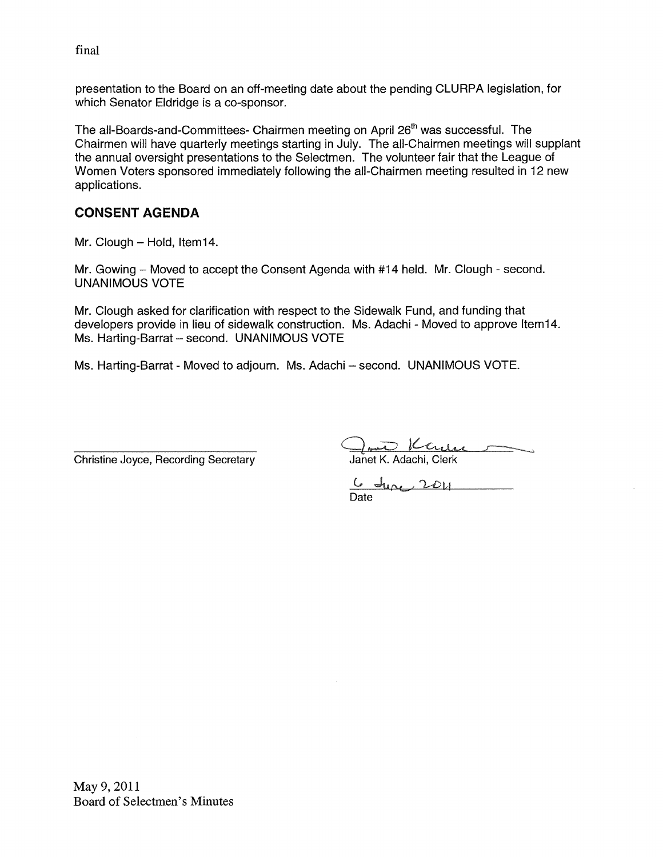final

presentation to the Board on an off-meeting date about the pending CLURPA legislation, for which Senator Eldridge is a co-sponsor.

The all-Boards-and-Committees- Chairmen meeting on April 26<sup>th</sup> was successful. The Chairmen will have quarterly meetings starting in July. The all-Chairmen meetings will supplant the annual oversight presentations to the Selectmen. The volunteer fair that the League of Women Voters sponsored immediately following the all-Chairmen meeting resulted in 12 new applications.

#### CONSENT AGENDA

Mr. Clough — Hold, lteml4.

Mr. Gowing – Moved to accept the Consent Agenda with #14 held. Mr. Clough - second. UNANIMOUS VOTE

Mr. Clough asked for clarification with respect to the Sidewalk Fund, and funding that developers provide in lieu of sidewalk construction. Ms. Adachi - Moved to approve lteml4. Ms. Harting-Barrat — second. UNANIMOUS VOTE

Ms. Harting-Barrat -Moved to adjourn. Ms. Adachi — second. UNANIMOUS VOTE.

Christine Joyce, Recording Secretary

<u>Cambre K. Adachi,</u> Clerk<br>Janet K. Adachi, Clerk

 $\mathsf{C}$ Date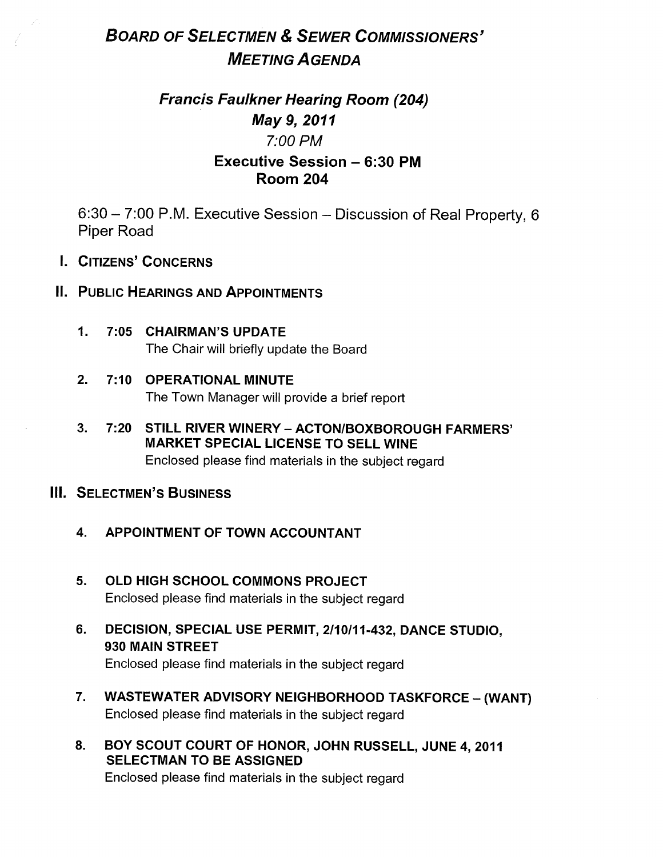# BOARD OF SELECTMEN & SEWER COMMISSIONERS' MEETING AGENDA

## Francis Faulkner Hearing Room (204) May 9, 2011 7:00 PM Executive Session — 6:30 PM Room 204

6:30 — 7:00 P.M. Executive Session — Discussion of Real Property, 6 Piper Road

I. CITIZENS' CONCERNS

#### II. PUBLIC HEARINGS AND APPOINTMENTS

- 1. 7:05 CHAIRMAN'S UPDATE The Chair will briefly update the Board
- 2. 7:10 OPERATIONAL MINUTE The Town Manager will provide a brief report
- 3. 7:20 STILL RIVER WINERY ACTON/BOXBOROUGH FARMERS' MARKET SPECIAL LICENSE TO SELL WINE Enclosed please find materials in the subject regard

## Ill. SELECTMEN'S BUSINESS

- 4. APPOINTMENT OF TOWN ACCOUNTANT
- 5. OLD HIGH SCHOOL COMMONS PROJECT Enclosed please find materials in the subject regard
- 6. DECISION, SPECIAL USE PERMIT, 2/10111-432, DANCE STUDIO, 930 MAIN STREET Enclosed please find materials in the subject regard
- 7. WASTEWATER ADVISORY NEIGHBORHOOD TASKFORCE (WANT) Enclosed please find materials in the subject regard
- 8. BOY SCOUT COURT OF HONOR, JOHN RUSSELL, JUNE 4, 2011 SELECTMAN TO BE ASSIGNED Enclosed please find materials in the subject regard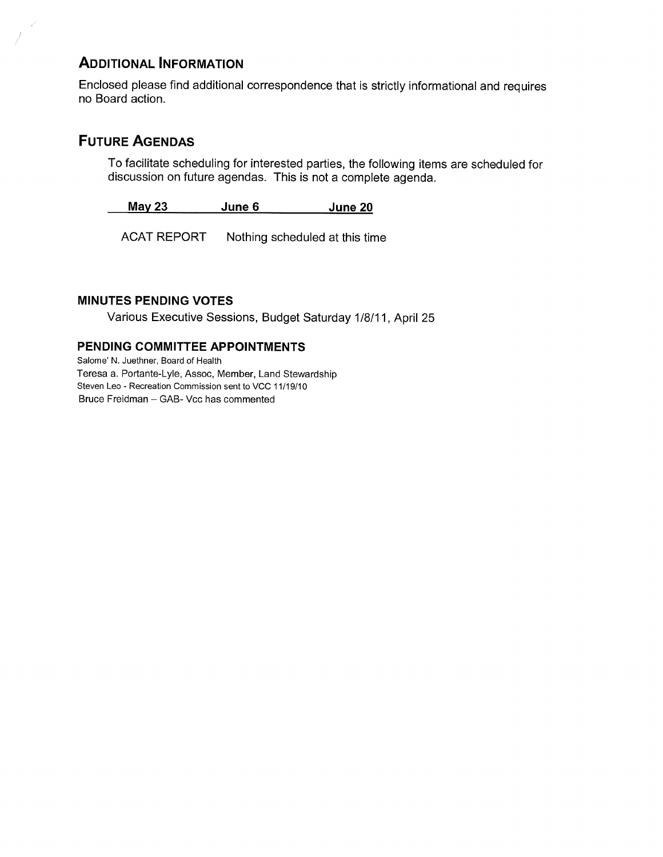## ADDITIONAL INFORMATION

Enclosed please find additional correspondence that is strictly informational and requires no Board action.

## FUTURE AGENDAS

To facilitate scheduling for interested parties, the following items are scheduled for discussion on future agendas. This is not a complete agenda.

May 23 June 6 June 20

ACAT REPORT Nothing scheduled at this time

#### MINUTES PENDING VOTES

Various Executive Sessions, Budget Saturday 1/8/11, April25

#### PENDING COMMITTEE APPOINTMENTS

Salome' N. Juethner, Board of Health Teresa a. Portante-Lyle, Assoc, Member, Land Stewardship Steven Leo - Recreation Commission sent to VCC 11/19/10 Bruce Freidman — GAB- Vcc has commented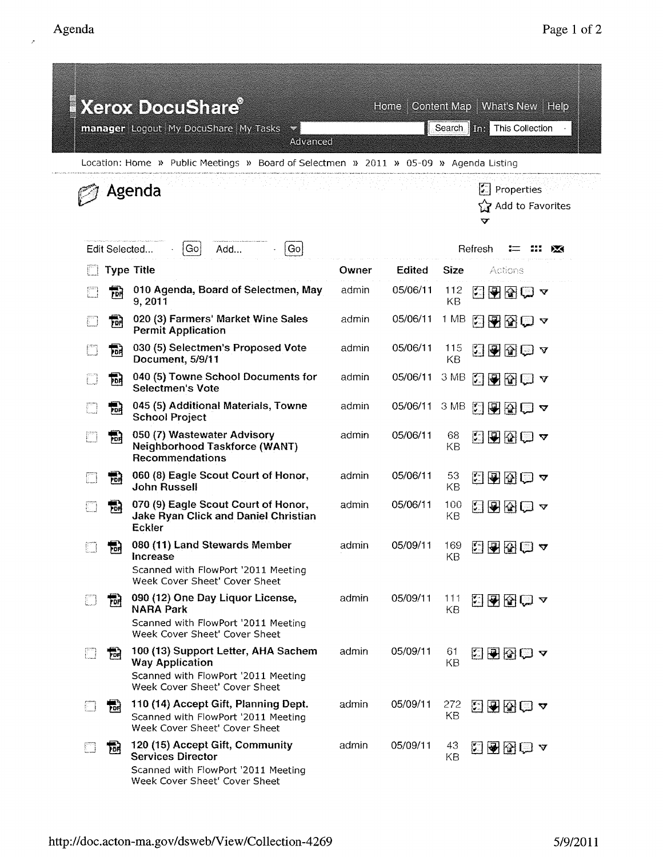|        |               | <b>Xerox DocuShare®</b><br>manager Logout My DocuShare My Tasks<br>Advanced                                                           |       | Home -   |                  | Content Map   What's New   Help<br>Search <b>in:</b> This Collection |  |
|--------|---------------|---------------------------------------------------------------------------------------------------------------------------------------|-------|----------|------------------|----------------------------------------------------------------------|--|
|        |               | Location: Home » Public Meetings » Board of Selectmen » 2011 » 05-09 » Agenda Listing                                                 |       |          |                  |                                                                      |  |
|        |               | Agenda                                                                                                                                |       |          |                  | $\vert$ Properties<br>্রি? Add to Favorites<br>v                     |  |
|        | Edit Selected | Add<br>Gol<br>Go                                                                                                                      |       |          |                  | Refresh<br>✕                                                         |  |
|        |               | <b>Type Title</b>                                                                                                                     | Owner | Edited   | Size             | Actions                                                              |  |
|        | ন্দি          | 010 Agenda, Board of Selectmen, May<br>9,2011                                                                                         | admin | 05/06/11 | 112<br><b>KB</b> | 闛<br>图图图▲                                                            |  |
|        | 訥             | 020 (3) Farmers' Market Wine Sales<br><b>Permit Application</b>                                                                       | admin | 05/06/11 | 1 MB             | 2905∽                                                                |  |
|        | Ţон<br>Р      | 030 (5) Selectmen's Proposed Vote<br>Document, 5/9/11                                                                                 | admin | 05/06/11 | 115<br>KB        | 2000~                                                                |  |
|        | 翤             | 040 (5) Towne School Documents for<br>Selectmen's Vote                                                                                | admin | 05/06/11 | 3 MB             | ZBBD ∡                                                               |  |
|        | 둲             | 045 (5) Additional Materials, Towne<br><b>School Project</b>                                                                          | admin | 05/06/11 | 3 MB             | 2920 7                                                               |  |
|        | 説             | 050 (7) Wastewater Advisory<br>Neighborhood Taskforce (WANT)<br><b>Recommendations</b>                                                | admin | 05/06/11 | 68<br>KB         | KBR©∽                                                                |  |
|        | 鬝             | 060 (8) Eagle Scout Court of Honor,<br>John Russell                                                                                   | admin | 05/06/11 | 53<br>KB         | 2905 ↑                                                               |  |
|        | 罰             | 070 (9) Eagle Scout Court of Honor,<br><b>Jake Ryan Click and Daniel Christian</b><br>Eckler                                          | admin | 05/06/11 | 100<br>KΒ        | 3556~                                                                |  |
|        | ு             | 080 (11) Land Stewards Member<br><b>Increase</b><br>Scanned with FlowPort '2011 Meeting<br>Week Cover Sheet' Cover Sheet              | admin | 05/09/11 | 169<br>KВ        | 日图图白~                                                                |  |
| $\Box$ | <b>For</b>    | 090 (12) One Day Liquor License,<br><b>NARA Park</b><br>Scanned with FlowPort '2011 Meeting<br>Week Cover Sheet' Cover Sheet          | admin | 05/09/11 | 111<br>KB        | 阳图图□ △                                                               |  |
| n      | 冠             | 100 (13) Support Letter, AHA Sachem<br><b>Way Application</b><br>Scanned with FlowPort '2011 Meeting<br>Week Cover Sheet' Cover Sheet | admin | 05/09/11 | 61<br>KB         | KRB©∡                                                                |  |
|        | 퉒             | 110 (14) Accept Gift, Planning Dept.<br>Scanned with FlowPort '2011 Meeting<br>Week Cover Sheet' Cover Sheet                          | admin | 05/09/11 | 272<br>KВ        | 2908 →                                                               |  |
|        | 劢             | 120 (15) Accept Gift, Community<br><b>Services Director</b><br>Scanned with FlowPort '2011 Meeting<br>Week Cover Sheet' Cover Sheet   | admin | 05/09/11 | 43<br>KB         | 图图图△                                                                 |  |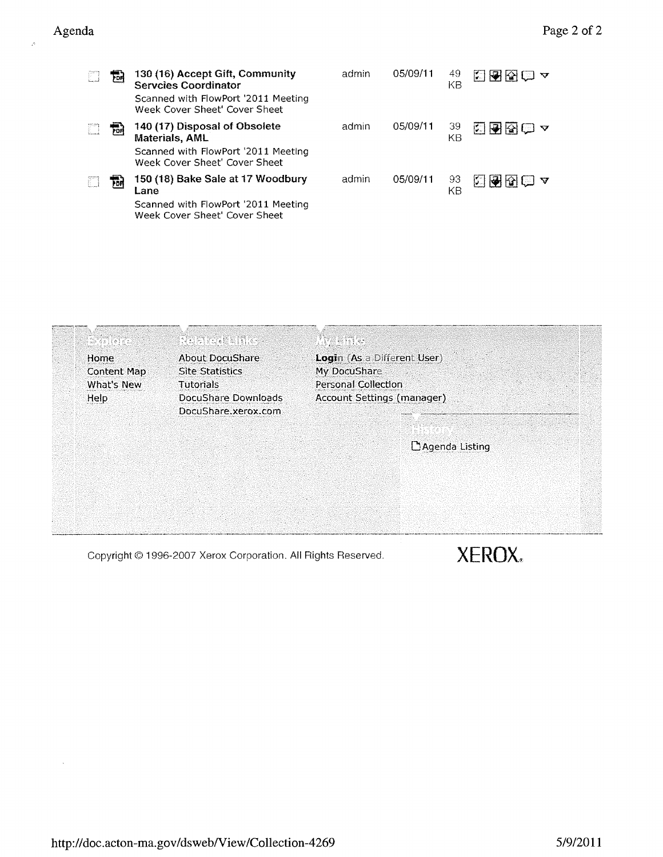| E. | 凾 | 130 (16) Accept Gift, Community<br><b>Servcies Coordinator</b><br>Scanned with FlowPort '2011 Meeting<br>Week Cover Sheet' Cover Sheet | admin | 05/09/11 | 49<br>KΒ | 지원장                 |
|----|---|----------------------------------------------------------------------------------------------------------------------------------------|-------|----------|----------|---------------------|
|    | ᇜ | 140 (17) Disposal of Obsolete<br>Materials, AML<br>Scanned with FlowPort '2011 Meeting<br>Week Cover Sheet' Cover Sheet                | admin | 05/09/11 | 39<br>ΚB | $\blacksquare$<br>। |
| F. | 편 | 150 (18) Bake Sale at 17 Woodbury<br>Lane<br>Scanned with FlowPort '2011 Meeting<br>Week Cover Sheet' Cover Sheet                      | admin | 05/09/11 | 93<br>KΒ | ĽП                  |



Copyright © 1996-2007 Xerox Corporation. All Rights Reserved.  $XEROX_*$ 

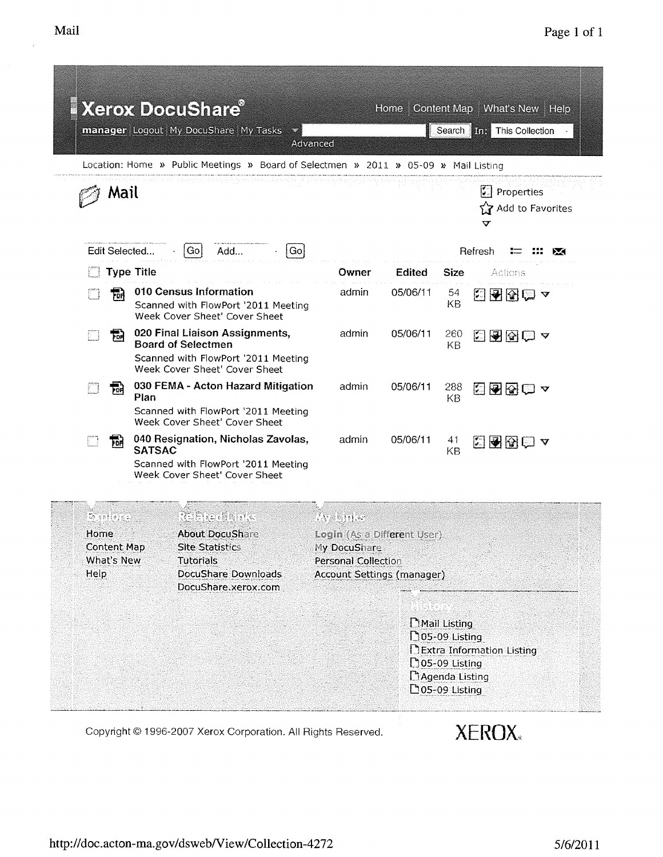|              |                                               |                   | <b>Xerox DocuShare®</b><br>manager Logout My DocuShare My Tasks<br>Location: Home » Public Meetings » Board of Selectmen » 2011 » 05-09 » Mail Listing | Advanced                                                                                                           | Home     |                                                                                                             | Content Map   What's New   Help<br>Search <b>This Collection</b> |
|--------------|-----------------------------------------------|-------------------|--------------------------------------------------------------------------------------------------------------------------------------------------------|--------------------------------------------------------------------------------------------------------------------|----------|-------------------------------------------------------------------------------------------------------------|------------------------------------------------------------------|
|              | Mail                                          |                   | 3 Andrews Andrews Search Art Form Apple to May 1940, Andrew                                                                                            |                                                                                                                    |          |                                                                                                             | <b>E</b> Properties<br>Add to Favorites<br>v                     |
|              | Edit Selected                                 |                   | Go <br>  Gol<br>Add                                                                                                                                    |                                                                                                                    |          |                                                                                                             | Refresh<br>ÞО                                                    |
|              |                                               | <b>Type Title</b> |                                                                                                                                                        | Owner                                                                                                              | Edited   | <b>Size</b>                                                                                                 | Actions                                                          |
|              | 盆                                             |                   | 010 Census Information<br>Scanned with FlowPort '2011 Meeting<br>Week Cover Sheet' Cover Sheet                                                         | admin                                                                                                              | 05/06/11 | 54<br>KB                                                                                                    | 35580~                                                           |
|              | 码                                             |                   | 020 Final Liaison Assignments,<br><b>Board of Selectmen</b><br>Scanned with FlowPort '2011 Meeting<br>Week Cover Sheet' Cover Sheet                    | admin                                                                                                              | 05/06/11 | 260<br>KВ                                                                                                   | 2930 7                                                           |
|              | ᇥ                                             | Plan              | 030 FEMA - Acton Hazard Mitigation<br>Scanned with FlowPort '2011 Meeting<br>Week Cover Sheet' Cover Sheet                                             | admin                                                                                                              | 05/06/11 | 288<br>KB                                                                                                   | 20020 Y                                                          |
|              | 丽                                             | <b>SATSAC</b>     | 040 Resignation, Nicholas Zavolas,<br>Scanned with FlowPort '2011 Meeting<br>Week Cover Sheet' Cover Sheet                                             | admin                                                                                                              | 05/06/11 | 41<br>KB                                                                                                    | <b>国图图画 4</b>                                                    |
| Home<br>Help | P (allema<br><b>Content Map</b><br>What's New |                   | <b>REFERENCE</b><br><b>About DocuShare</b><br><b>Site Statistics</b><br><b>Tutorials</b><br>DocuShare Downloads<br>DocuShare, xerox.com                | WEBHIKT<br>Login (As a Different User)<br>My DocuShare<br>Personal Collection<br><b>Account Settings (manager)</b> |          |                                                                                                             |                                                                  |
|              |                                               |                   |                                                                                                                                                        |                                                                                                                    |          | Mail Listing<br><b>105-09 Listing</b><br><b>[</b> 105-09 Listing<br>Magenda Listing<br>$\Box$ 05-09 Listing | DExtra Information Listing                                       |

Copyright @ 1996-2007 Xerox Corporation. All Rights Reserved.

**XEROX**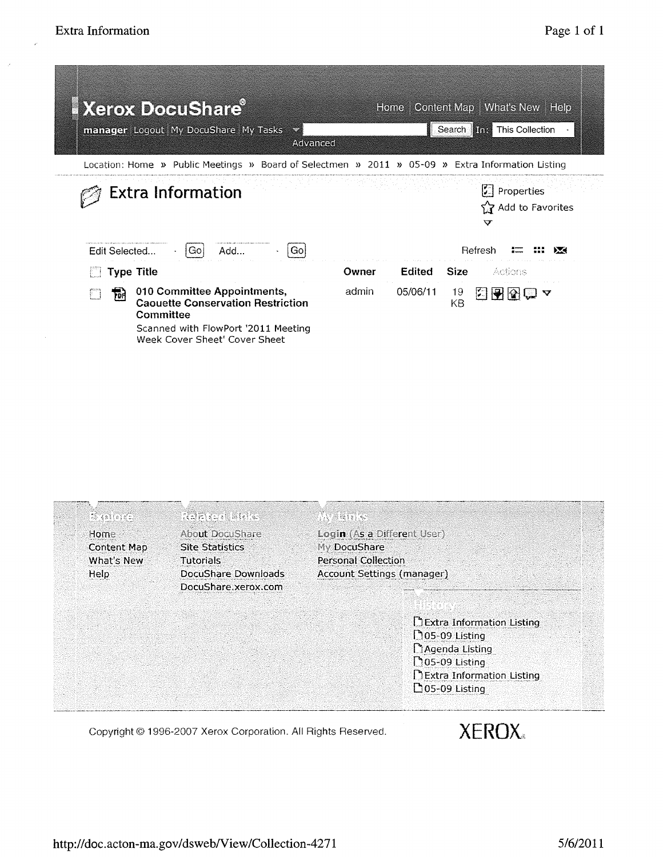| <b>Xerox DocuShare</b><br>manager Logout My DocuShare My Tasks<br>$\mathcal{L}$<br>Advanced                                                                       |       | Home     | Search <b>in Figure</b> | Content Map   What's New   Help<br>This Collection                          |                         |
|-------------------------------------------------------------------------------------------------------------------------------------------------------------------|-------|----------|-------------------------|-----------------------------------------------------------------------------|-------------------------|
| Location: Home » Public Meetings » Board of Selectmen » 2011 » 05-09 » Extra Information Listing                                                                  |       |          |                         |                                                                             |                         |
| <b>Extra Information</b><br> Go <br>Add<br>Go:<br>Edit Selected                                                                                                   |       |          |                         | 二 Properties<br>ና <sub>⊉</sub> Add to Favorites<br>$\bm{\nabla}$<br>Refresh |                         |
| <b>Type Title</b>                                                                                                                                                 | Owner | Edited   | Size                    | Adians                                                                      |                         |
| 010 Committee Appointments,<br>品<br><b>Caouette Conservation Restriction</b><br>Committee<br>Scanned with FlowPort '2011 Meeting<br>Week Cover Sheet' Cover Sheet | admin | 05/06/11 | 19<br>KΒ                | 医图图<br>1. L                                                                 | $\overline{\mathbf{v}}$ |

| Home               | <b>About DocuShare</b> | Login (As a Different User)       |
|--------------------|------------------------|-----------------------------------|
| <b>Content Map</b> | <b>Site Statistics</b> | My DocuShare                      |
| What's New         | <b>Tutorials</b>       | Personal Collection               |
| Help               | DocuShare Downloads    | <b>Account Settings (manager)</b> |
|                    | DocuShare.xerox.com    |                                   |
|                    |                        |                                   |
|                    |                        | Extra Information Listing         |
|                    |                        | <b>205-09 Listing</b>             |
|                    |                        | Agenda Listing                    |
|                    |                        | <b>105-09 Listing</b>             |
|                    |                        | DExtra Information Listing        |
|                    |                        | $\Box$ 05-09 Listing              |

Copyright @ 1996-2007 Xerox Corporation. All Rights Reserved.

**XEROX**